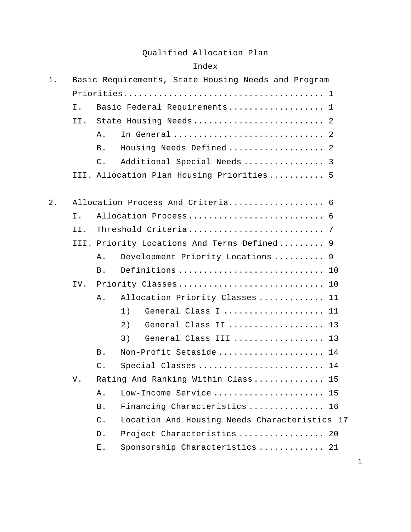### Qualified Allocation Plan

#### Index

| $1$ . |     |                 | Basic Requirements, State Housing Needs and Program |
|-------|-----|-----------------|-----------------------------------------------------|
|       |     |                 |                                                     |
|       | Ι.  |                 | Basic Federal Requirements 1                        |
|       | II. |                 |                                                     |
|       |     | Α.              | In General  2                                       |
|       |     | <b>B</b> .      | Housing Needs Defined  2                            |
|       |     | $\mathsf{C}$ .  | Additional Special Needs  3                         |
|       |     |                 | III. Allocation Plan Housing Priorities 5           |
| $2$ . |     |                 | Allocation Process And Criteria 6                   |
|       | Ι.  |                 | Allocation Process 6                                |
|       | II. |                 |                                                     |
|       |     |                 | III. Priority Locations And Terms Defined 9         |
|       |     | Α.              | Development Priority Locations  9                   |
|       |     | <b>B</b> .      | Definitions  10                                     |
|       | IV. |                 | Priority Classes 10                                 |
|       |     | Α.              | Allocation Priority Classes  11                     |
|       |     |                 | 1)<br>General Class I  11                           |
|       |     |                 | 2)<br>General Class II  13                          |
|       |     |                 | 3)<br>General Class III  13                         |
|       |     | <b>B</b> .      | Non-Profit Setaside  14                             |
|       |     | $\mathsf{C}$ .  | Special Classes  14                                 |
|       | V.  |                 | Rating And Ranking Within Class 15                  |
|       |     | Α.              | Low-Income Service 15                               |
|       |     | <b>B</b> .      | Financing Characteristics  16                       |
|       |     | $\mathcal{C}$ . | Location And Housing Needs Characteristics 17       |
|       |     | D.              | Project Characteristics  20                         |
|       |     | Ε.              | Sponsorship Characteristics  21                     |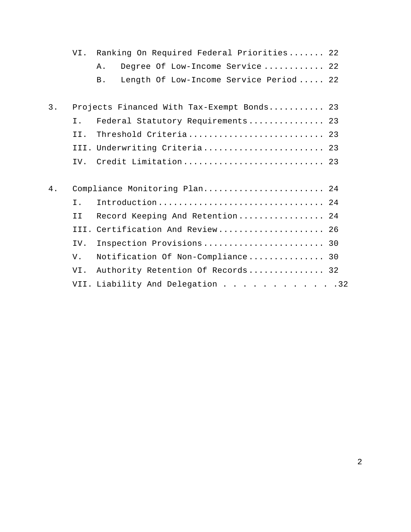|    | VI. | Ranking On Required Federal Priorities 22     |  |
|----|-----|-----------------------------------------------|--|
|    |     | Degree Of Low-Income Service 22<br>Α.         |  |
|    |     | Length Of Low-Income Service Period  22<br>B. |  |
|    |     |                                               |  |
| 3. |     | Projects Financed With Tax-Exempt Bonds 23    |  |
|    | Ι.  | Federal Statutory Requirements 23             |  |
|    | II. | Threshold Criteria 23                         |  |
|    |     | III. Underwriting Criteria 23                 |  |
|    | IV. | Credit Limitation 23                          |  |
|    |     |                                               |  |
| 4. |     | Compliance Monitoring Plan 24                 |  |
|    | Ι.  | Introduction 24                               |  |
|    | ΙI  | Record Keeping And Retention 24               |  |
|    |     | III. Certification And Review 26              |  |
|    | IV. | Inspection Provisions 30                      |  |
|    | V.  | Notification Of Non-Compliance 30             |  |
|    | VI. | Authority Retention Of Records 32             |  |
|    |     | VII. Liability And Delegation 32              |  |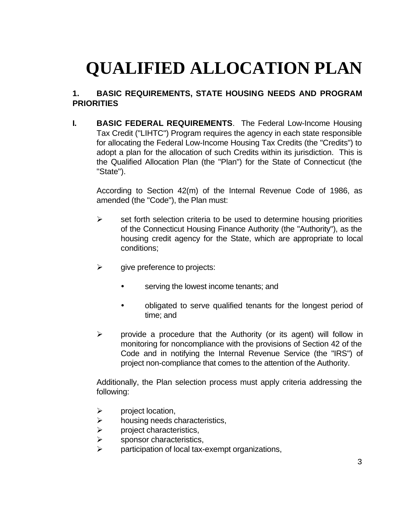# **QUALIFIED ALLOCATION PLAN**

## **1. BASIC REQUIREMENTS, STATE HOUSING NEEDS AND PROGRAM PRIORITIES**

**I. BASIC FEDERAL REQUIREMENTS**. The Federal Low-Income Housing Tax Credit ("LIHTC") Program requires the agency in each state responsible for allocating the Federal Low-Income Housing Tax Credits (the "Credits") to adopt a plan for the allocation of such Credits within its jurisdiction. This is the Qualified Allocation Plan (the "Plan") for the State of Connecticut (the "State").

According to Section 42(m) of the Internal Revenue Code of 1986, as amended (the "Code"), the Plan must:

- $\triangleright$  set forth selection criteria to be used to determine housing priorities of the Connecticut Housing Finance Authority (the "Authority"), as the housing credit agency for the State, which are appropriate to local conditions;
- $\triangleright$  give preference to projects:
	- serving the lowest income tenants; and
	- obligated to serve qualified tenants for the longest period of time; and
- $\triangleright$  provide a procedure that the Authority (or its agent) will follow in monitoring for noncompliance with the provisions of Section 42 of the Code and in notifying the Internal Revenue Service (the "IRS") of project non-compliance that comes to the attention of the Authority.

Additionally, the Plan selection process must apply criteria addressing the following:

- $\triangleright$  project location,
- $\triangleright$  housing needs characteristics,
- $\triangleright$  project characteristics,
- $\triangleright$  sponsor characteristics,
- participation of local tax-exempt organizations,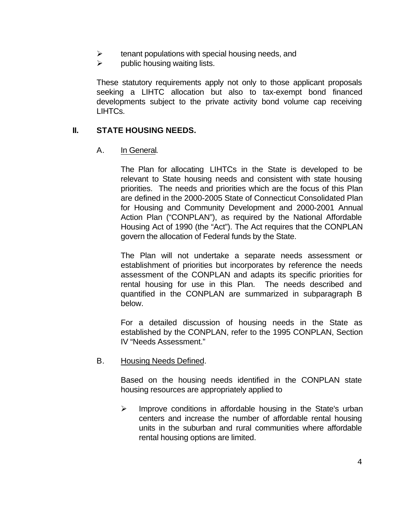- $\triangleright$  tenant populations with special housing needs, and
- $\triangleright$  public housing waiting lists.

These statutory requirements apply not only to those applicant proposals seeking a LIHTC allocation but also to tax-exempt bond financed developments subject to the private activity bond volume cap receiving LIHTCs.

### **II. STATE HOUSING NEEDS.**

A. In General.

The Plan for allocating LIHTCs in the State is developed to be relevant to State housing needs and consistent with state housing priorities. The needs and priorities which are the focus of this Plan are defined in the 2000-2005 State of Connecticut Consolidated Plan for Housing and Community Development and 2000-2001 Annual Action Plan ("CONPLAN"), as required by the National Affordable Housing Act of 1990 (the "Act"). The Act requires that the CONPLAN govern the allocation of Federal funds by the State.

The Plan will not undertake a separate needs assessment or establishment of priorities but incorporates by reference the needs assessment of the CONPLAN and adapts its specific priorities for rental housing for use in this Plan. The needs described and quantified in the CONPLAN are summarized in subparagraph B below.

For a detailed discussion of housing needs in the State as established by the CONPLAN, refer to the 1995 CONPLAN, Section IV "Needs Assessment."

B. Housing Needs Defined.

Based on the housing needs identified in the CONPLAN state housing resources are appropriately applied to

 $\triangleright$  Improve conditions in affordable housing in the State's urban centers and increase the number of affordable rental housing units in the suburban and rural communities where affordable rental housing options are limited.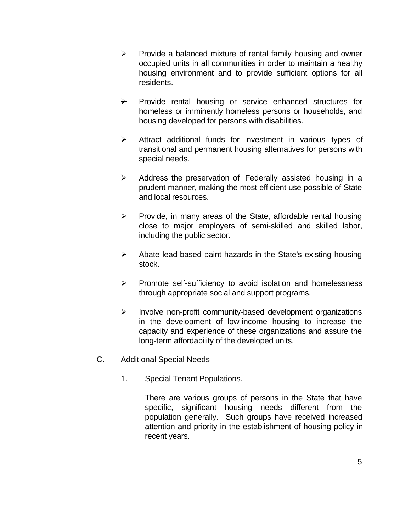- $\triangleright$  Provide a balanced mixture of rental family housing and owner occupied units in all communities in order to maintain a healthy housing environment and to provide sufficient options for all residents.
- $\rightarrow$  Provide rental housing or service enhanced structures for homeless or imminently homeless persons or households, and housing developed for persons with disabilities.
- $\triangleright$  Attract additional funds for investment in various types of transitional and permanent housing alternatives for persons with special needs.
- $\triangleright$  Address the preservation of Federally assisted housing in a prudent manner, making the most efficient use possible of State and local resources.
- $\triangleright$  Provide, in many areas of the State, affordable rental housing close to major employers of semi-skilled and skilled labor, including the public sector.
- $\triangleright$  Abate lead-based paint hazards in the State's existing housing stock.
- $\triangleright$  Promote self-sufficiency to avoid isolation and homelessness through appropriate social and support programs.
- $\triangleright$  Involve non-profit community-based development organizations in the development of low-income housing to increase the capacity and experience of these organizations and assure the long-term affordability of the developed units.
- C. Additional Special Needs
	- 1. Special Tenant Populations.

There are various groups of persons in the State that have specific, significant housing needs different from the population generally. Such groups have received increased attention and priority in the establishment of housing policy in recent years.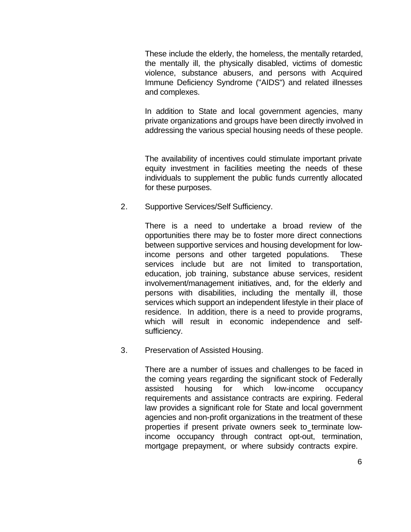These include the elderly, the homeless, the mentally retarded, the mentally ill, the physically disabled, victims of domestic violence, substance abusers, and persons with Acquired Immune Deficiency Syndrome ("AIDS") and related illnesses and complexes.

In addition to State and local government agencies, many private organizations and groups have been directly involved in addressing the various special housing needs of these people.

The availability of incentives could stimulate important private equity investment in facilities meeting the needs of these individuals to supplement the public funds currently allocated for these purposes.

2. Supportive Services/Self Sufficiency.

There is a need to undertake a broad review of the opportunities there may be to foster more direct connections between supportive services and housing development for lowincome persons and other targeted populations. These services include but are not limited to transportation, education, job training, substance abuse services, resident involvement/management initiatives, and, for the elderly and persons with disabilities, including the mentally ill, those services which support an independent lifestyle in their place of residence. In addition, there is a need to provide programs, which will result in economic independence and selfsufficiency.

3. Preservation of Assisted Housing.

There are a number of issues and challenges to be faced in the coming years regarding the significant stock of Federally assisted housing for which low-income occupancy requirements and assistance contracts are expiring. Federal law provides a significant role for State and local government agencies and non-profit organizations in the treatment of these properties if present private owners seek to terminate lowincome occupancy through contract opt-out, termination, mortgage prepayment, or where subsidy contracts expire.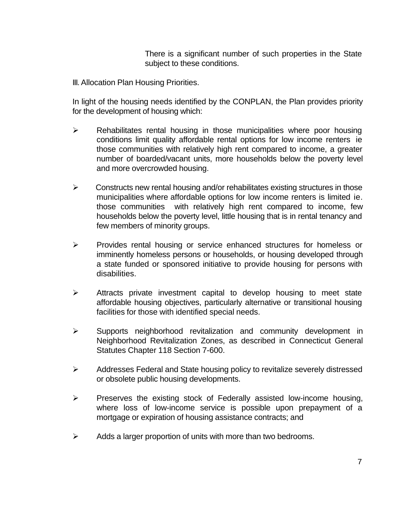There is a significant number of such properties in the State subject to these conditions.

III. Allocation Plan Housing Priorities.

In light of the housing needs identified by the CONPLAN, the Plan provides priority for the development of housing which:

- $\triangleright$  Rehabilitates rental housing in those municipalities where poor housing conditions limit quality affordable rental options for low income renters ie those communities with relatively high rent compared to income, a greater number of boarded/vacant units, more households below the poverty level and more overcrowded housing.
- $\triangleright$  Constructs new rental housing and/or rehabilitates existing structures in those municipalities where affordable options for low income renters is limited ie. those communities with relatively high rent compared to income, few households below the poverty level, little housing that is in rental tenancy and few members of minority groups.
- $\triangleright$  Provides rental housing or service enhanced structures for homeless or imminently homeless persons or households, or housing developed through a state funded or sponsored initiative to provide housing for persons with disabilities.
- $\triangleright$  Attracts private investment capital to develop housing to meet state affordable housing objectives, particularly alternative or transitional housing facilities for those with identified special needs.
- $\triangleright$  Supports neighborhood revitalization and community development in Neighborhood Revitalization Zones, as described in Connecticut General Statutes Chapter 118 Section 7-600.
- $\triangleright$  Addresses Federal and State housing policy to revitalize severely distressed or obsolete public housing developments.
- $\triangleright$  Preserves the existing stock of Federally assisted low-income housing, where loss of low-income service is possible upon prepayment of a mortgage or expiration of housing assistance contracts; and
- $\triangleright$  Adds a larger proportion of units with more than two bedrooms.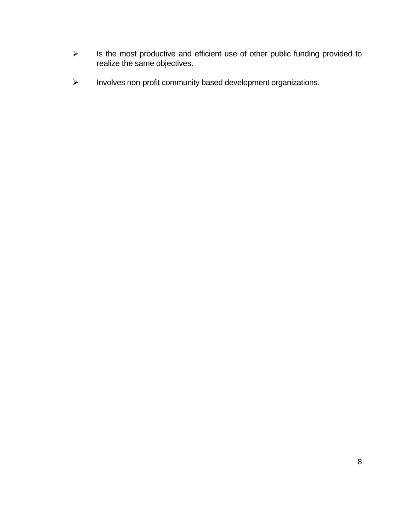- $\triangleright$  Is the most productive and efficient use of other public funding provided to realize the same objectives.
- $\triangleright$  Involves non-profit community based development organizations.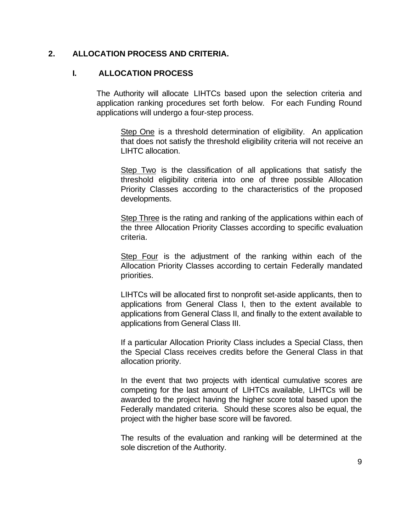### **2. ALLOCATION PROCESS AND CRITERIA.**

#### **I. ALLOCATION PROCESS**

The Authority will allocate LIHTCs based upon the selection criteria and application ranking procedures set forth below. For each Funding Round applications will undergo a four-step process.

Step One is a threshold determination of eligibility. An application that does not satisfy the threshold eligibility criteria will not receive an LIHTC allocation.

Step Two is the classification of all applications that satisfy the threshold eligibility criteria into one of three possible Allocation Priority Classes according to the characteristics of the proposed developments.

Step Three is the rating and ranking of the applications within each of the three Allocation Priority Classes according to specific evaluation criteria.

Step Four is the adjustment of the ranking within each of the Allocation Priority Classes according to certain Federally mandated priorities.

LIHTCs will be allocated first to nonprofit set-aside applicants, then to applications from General Class I, then to the extent available to applications from General Class II, and finally to the extent available to applications from General Class III.

If a particular Allocation Priority Class includes a Special Class, then the Special Class receives credits before the General Class in that allocation priority.

In the event that two projects with identical cumulative scores are competing for the last amount of LIHTCs available, LIHTCs will be awarded to the project having the higher score total based upon the Federally mandated criteria. Should these scores also be equal, the project with the higher base score will be favored.

The results of the evaluation and ranking will be determined at the sole discretion of the Authority.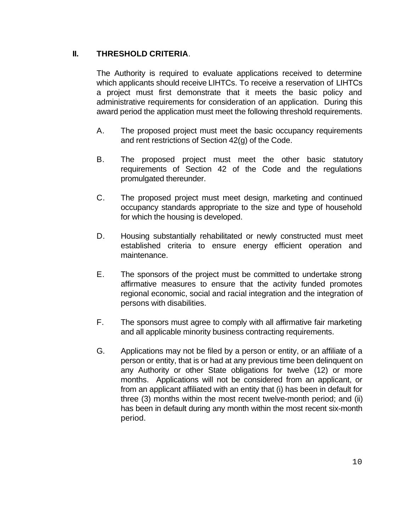## **II. THRESHOLD CRITERIA**.

The Authority is required to evaluate applications received to determine which applicants should receive LIHTCs. To receive a reservation of LIHTCs a project must first demonstrate that it meets the basic policy and administrative requirements for consideration of an application. During this award period the application must meet the following threshold requirements.

- A. The proposed project must meet the basic occupancy requirements and rent restrictions of Section 42(g) of the Code.
- B. The proposed project must meet the other basic statutory requirements of Section 42 of the Code and the regulations promulgated thereunder.
- C. The proposed project must meet design, marketing and continued occupancy standards appropriate to the size and type of household for which the housing is developed.
- D. Housing substantially rehabilitated or newly constructed must meet established criteria to ensure energy efficient operation and maintenance.
- E. The sponsors of the project must be committed to undertake strong affirmative measures to ensure that the activity funded promotes regional economic, social and racial integration and the integration of persons with disabilities.
- F. The sponsors must agree to comply with all affirmative fair marketing and all applicable minority business contracting requirements.
- G. Applications may not be filed by a person or entity, or an affiliate of a person or entity, that is or had at any previous time been delinquent on any Authority or other State obligations for twelve (12) or more months. Applications will not be considered from an applicant, or from an applicant affiliated with an entity that (i) has been in default for three (3) months within the most recent twelve-month period; and (ii) has been in default during any month within the most recent six-month period.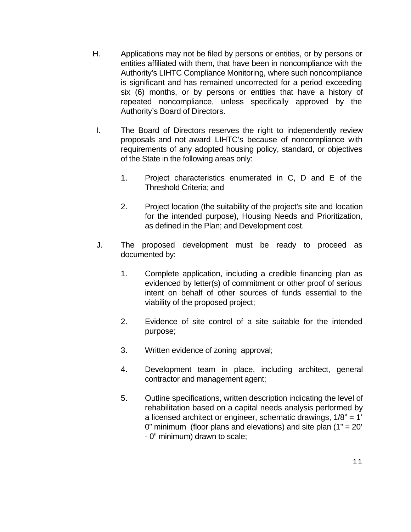- H. Applications may not be filed by persons or entities, or by persons or entities affiliated with them, that have been in noncompliance with the Authority's LIHTC Compliance Monitoring, where such noncompliance is significant and has remained uncorrected for a period exceeding six (6) months, or by persons or entities that have a history of repeated noncompliance, unless specifically approved by the Authority's Board of Directors.
- I. The Board of Directors reserves the right to independently review proposals and not award LIHTC's because of noncompliance with requirements of any adopted housing policy, standard, or objectives of the State in the following areas only:
	- 1. Project characteristics enumerated in C, D and E of the Threshold Criteria; and
	- 2. Project location (the suitability of the project's site and location for the intended purpose), Housing Needs and Prioritization, as defined in the Plan; and Development cost.
- J. The proposed development must be ready to proceed as documented by:
	- 1. Complete application, including a credible financing plan as evidenced by letter(s) of commitment or other proof of serious intent on behalf of other sources of funds essential to the viability of the proposed project;
	- 2. Evidence of site control of a site suitable for the intended purpose;
	- 3. Written evidence of zoning approval;
	- 4. Development team in place, including architect, general contractor and management agent;
	- 5. Outline specifications, written description indicating the level of rehabilitation based on a capital needs analysis performed by a licensed architect or engineer, schematic drawings, 1/8" = 1' 0" minimum (floor plans and elevations) and site plan  $(1" = 20"$ - 0" minimum) drawn to scale;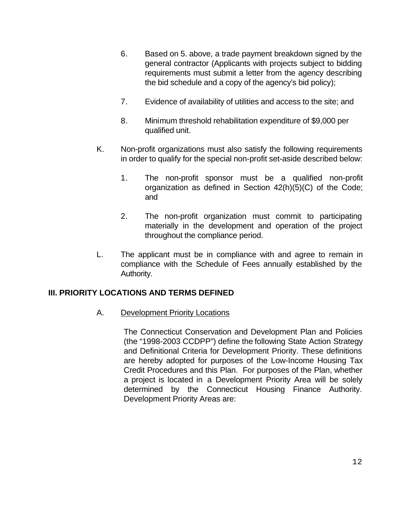- 6. Based on 5. above, a trade payment breakdown signed by the general contractor (Applicants with projects subject to bidding requirements must submit a letter from the agency describing the bid schedule and a copy of the agency's bid policy);
- 7. Evidence of availability of utilities and access to the site; and
- 8. Minimum threshold rehabilitation expenditure of \$9,000 per qualified unit.
- K. Non-profit organizations must also satisfy the following requirements in order to qualify for the special non-profit set-aside described below:
	- 1. The non-profit sponsor must be a qualified non-profit organization as defined in Section 42(h)(5)(C) of the Code; and
	- 2. The non-profit organization must commit to participating materially in the development and operation of the project throughout the compliance period.
- L. The applicant must be in compliance with and agree to remain in compliance with the Schedule of Fees annually established by the Authority.

#### **III. PRIORITY LOCATIONS AND TERMS DEFINED**

A. Development Priority Locations

The Connecticut Conservation and Development Plan and Policies (the "1998-2003 CCDPP") define the following State Action Strategy and Definitional Criteria for Development Priority. These definitions are hereby adopted for purposes of the Low-Income Housing Tax Credit Procedures and this Plan. For purposes of the Plan, whether a project is located in a Development Priority Area will be solely determined by the Connecticut Housing Finance Authority. Development Priority Areas are: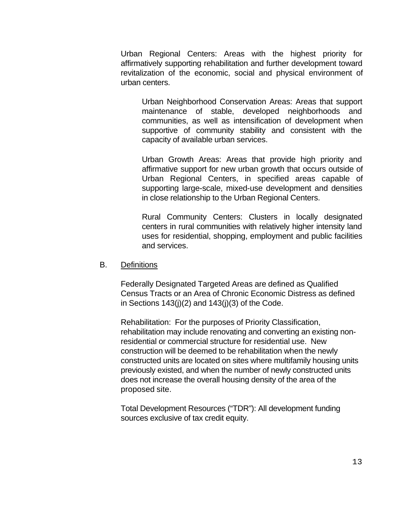Urban Regional Centers: Areas with the highest priority for affirmatively supporting rehabilitation and further development toward revitalization of the economic, social and physical environment of urban centers.

Urban Neighborhood Conservation Areas: Areas that support maintenance of stable, developed neighborhoods and communities, as well as intensification of development when supportive of community stability and consistent with the capacity of available urban services.

Urban Growth Areas: Areas that provide high priority and affirmative support for new urban growth that occurs outside of Urban Regional Centers, in specified areas capable of supporting large-scale, mixed-use development and densities in close relationship to the Urban Regional Centers.

Rural Community Centers: Clusters in locally designated centers in rural communities with relatively higher intensity land uses for residential, shopping, employment and public facilities and services.

#### B. Definitions

Federally Designated Targeted Areas are defined as Qualified Census Tracts or an Area of Chronic Economic Distress as defined in Sections  $143(j)(2)$  and  $143(j)(3)$  of the Code.

Rehabilitation: For the purposes of Priority Classification, rehabilitation may include renovating and converting an existing nonresidential or commercial structure for residential use. New construction will be deemed to be rehabilitation when the newly constructed units are located on sites where multifamily housing units previously existed, and when the number of newly constructed units does not increase the overall housing density of the area of the proposed site.

Total Development Resources ("TDR"): All development funding sources exclusive of tax credit equity.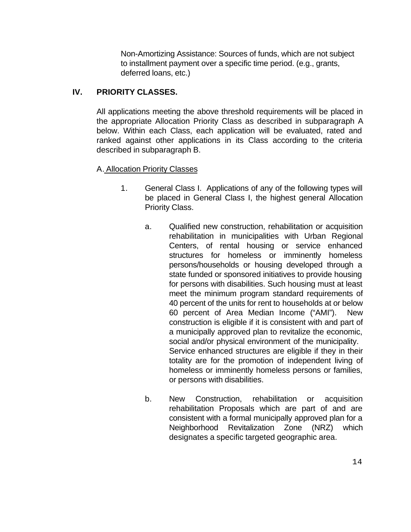Non-Amortizing Assistance: Sources of funds, which are not subject to installment payment over a specific time period. (e.g., grants, deferred loans, etc.)

## **IV. PRIORITY CLASSES.**

All applications meeting the above threshold requirements will be placed in the appropriate Allocation Priority Class as described in subparagraph A below. Within each Class, each application will be evaluated, rated and ranked against other applications in its Class according to the criteria described in subparagraph B.

## A. Allocation Priority Classes

- 1. General Class I. Applications of any of the following types will be placed in General Class I, the highest general Allocation Priority Class.
	- a. Qualified new construction, rehabilitation or acquisition rehabilitation in municipalities with Urban Regional Centers, of rental housing or service enhanced structures for homeless or imminently homeless persons/households or housing developed through a state funded or sponsored initiatives to provide housing for persons with disabilities. Such housing must at least meet the minimum program standard requirements of 40 percent of the units for rent to households at or below 60 percent of Area Median Income ("AMI"). New construction is eligible if it is consistent with and part of a municipally approved plan to revitalize the economic, social and/or physical environment of the municipality. Service enhanced structures are eligible if they in their totality are for the promotion of independent living of homeless or imminently homeless persons or families, or persons with disabilities.
	- b. New Construction, rehabilitation or acquisition rehabilitation Proposals which are part of and are consistent with a formal municipally approved plan for a Neighborhood Revitalization Zone (NRZ) which designates a specific targeted geographic area.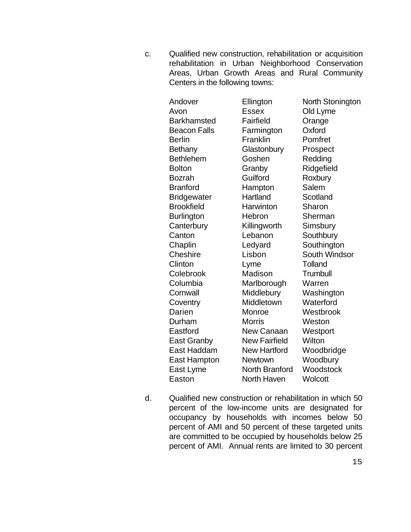c. Qualified new construction, rehabilitation or acquisition rehabilitation in Urban Neighborhood Conservation Areas, Urban Growth Areas and Rural Community Centers in the following towns:

| Andover             | Ellington             | North Stonington |
|---------------------|-----------------------|------------------|
| Avon                | <b>Essex</b>          | Old Lyme         |
| <b>Barkhamsted</b>  | Fairfield             | Orange           |
| <b>Beacon Falls</b> | Farmington            | Oxford           |
| <b>Berlin</b>       | Franklin              | Pomfret          |
| <b>Bethany</b>      | Glastonbury           | Prospect         |
| <b>Bethlehem</b>    | Goshen                | Redding          |
| <b>Bolton</b>       | Granby                | Ridgefield       |
| Bozrah              | Guilford              | Roxbury          |
| <b>Branford</b>     | Hampton               | Salem            |
| <b>Bridgewater</b>  | Hartland              | Scotland         |
| <b>Brookfield</b>   | Harwinton             | Sharon           |
| <b>Burlington</b>   | Hebron                | Sherman          |
| Canterbury          | Killingworth          | Simsbury         |
| Canton              | Lebanon               | Southbury        |
| Chaplin             | Ledyard               | Southington      |
| Cheshire            | Lisbon                | South Windsor    |
| Clinton             | Lyme                  | Tolland          |
| Colebrook           | Madison               | Trumbull         |
| Columbia            | Marlborough           | Warren           |
| Cornwall            | Middlebury            | Washington       |
| Coventry            | Middletown            | Waterford        |
| Darien              | Monroe                | Westbrook        |
| Durham              | <b>Morris</b>         | Weston           |
| Eastford            | <b>New Canaan</b>     | Westport         |
| <b>East Granby</b>  | <b>New Fairfield</b>  | Wilton           |
| East Haddam         | <b>New Hartford</b>   | Woodbridge       |
| East Hampton        | <b>Newtown</b>        | Woodbury         |
| East Lyme           | <b>North Branford</b> | Woodstock        |
| Easton              | North Haven           | Wolcott          |

d. Qualified new construction or rehabilitation in which 50 percent of the low-income units are designated for occupancy by households with incomes below 50 percent of AMI and 50 percent of these targeted units are committed to be occupied by households below 25 percent of AMI. Annual rents are limited to 30 percent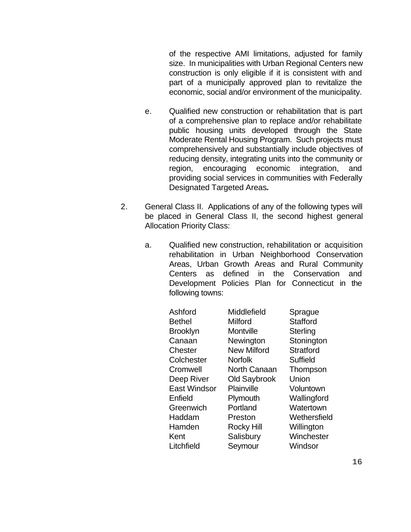of the respective AMI limitations, adjusted for family size. In municipalities with Urban Regional Centers new construction is only eligible if it is consistent with and part of a municipally approved plan to revitalize the economic, social and/or environment of the municipality.

- e. Qualified new construction or rehabilitation that is part of a comprehensive plan to replace and/or rehabilitate public housing units developed through the State Moderate Rental Housing Program. Such projects must comprehensively and substantially include objectives of reducing density, integrating units into the community or region, encouraging economic integration, and providing social services in communities with Federally Designated Targeted Areas*.*
- 2. General Class II. Applications of any of the following types will be placed in General Class II, the second highest general Allocation Priority Class:
	- a. Qualified new construction, rehabilitation or acquisition rehabilitation in Urban Neighborhood Conservation Areas, Urban Growth Areas and Rural Community Centers as defined in the Conservation and Development Policies Plan for Connecticut in the following towns:

| Ashford<br>Bethel<br><b>Brooklyn</b><br>Canaan<br>Chester | Middlefield<br>Milford<br>Montville<br>Newington<br><b>New Milford</b> | Sprague<br><b>Stafford</b><br>Sterling<br>Stonington<br><b>Stratford</b> |
|-----------------------------------------------------------|------------------------------------------------------------------------|--------------------------------------------------------------------------|
|                                                           |                                                                        |                                                                          |
|                                                           |                                                                        |                                                                          |
| Colchester                                                | <b>Norfolk</b>                                                         | Suffield                                                                 |
| Cromwell                                                  | <b>North Canaan</b>                                                    | Thompson                                                                 |
| Deep River                                                | <b>Old Saybrook</b>                                                    | Union                                                                    |
| East Windsor                                              | Plainville                                                             | Voluntown                                                                |
| Enfield                                                   | Plymouth                                                               | Wallingford                                                              |
| Greenwich                                                 | Portland                                                               | Watertown                                                                |
| Haddam                                                    | Preston                                                                | Wethersfield                                                             |
| Hamden                                                    | Rocky Hill                                                             | Willington                                                               |
| Kent                                                      | Salisbury                                                              | Winchester                                                               |
| Litchfield                                                | Seymour                                                                | Windsor                                                                  |
|                                                           |                                                                        |                                                                          |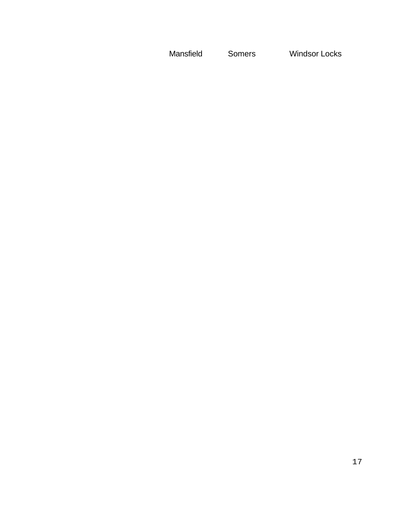Mansfield Somers Windsor Locks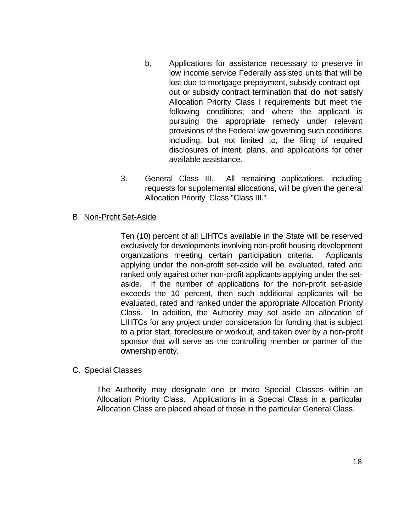- b. Applications for assistance necessary to preserve in low income service Federally assisted units that will be lost due to mortgage prepayment, subsidy contract optout or subsidy contract termination that **do not** satisfy Allocation Priority Class I requirements but meet the following conditions; and where the applicant is pursuing the appropriate remedy under relevant provisions of the Federal law governing such conditions including, but not limited to, the filing of required disclosures of intent, plans, and applications for other available assistance.
- 3. General Class III. All remaining applications, including requests for supplemental allocations, will be given the general Allocation Priority Class "Class III."

#### B. Non-Profit Set-Aside

Ten (10) percent of all LIHTCs available in the State will be reserved exclusively for developments involving non-profit housing development organizations meeting certain participation criteria. Applicants applying under the non-profit set-aside will be evaluated, rated and ranked only against other non-profit applicants applying under the setaside. If the number of applications for the non-profit set-aside exceeds the 10 percent, then such additional applicants will be evaluated, rated and ranked under the appropriate Allocation Priority Class. In addition, the Authority may set aside an allocation of LIHTCs for any project under consideration for funding that is subject to a prior start, foreclosure or workout, and taken over by a non-profit sponsor that will serve as the controlling member or partner of the ownership entity.

#### C. Special Classes

The Authority may designate one or more Special Classes within an Allocation Priority Class. Applications in a Special Class in a particular Allocation Class are placed ahead of those in the particular General Class.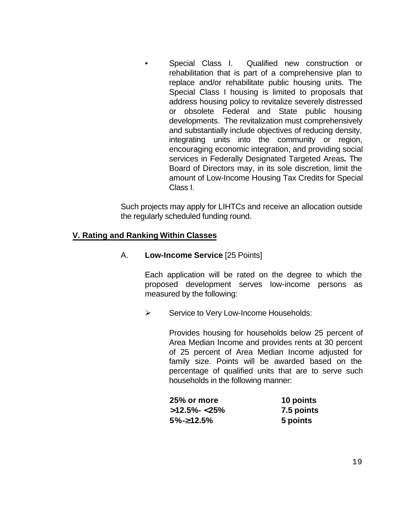Special Class I. Qualified new construction or rehabilitation that is part of a comprehensive plan to replace and/or rehabilitate public housing units. The Special Class I housing is limited to proposals that address housing policy to revitalize severely distressed or obsolete Federal and State public housing developments. The revitalization must comprehensively and substantially include objectives of reducing density, integrating units into the community or region, encouraging economic integration, and providing social services in Federally Designated Targeted Areas*.* The Board of Directors may, in its sole discretion, limit the amount of Low-Income Housing Tax Credits for Special Class I.

Such projects may apply for LIHTCs and receive an allocation outside the regularly scheduled funding round.

## **V. Rating and Ranking Within Classes**

A. **Low-Income Service** [25 Points]

Each application will be rated on the degree to which the proposed development serves low-income persons as measured by the following:

 $\triangleright$  Service to Very Low-Income Households:

Provides housing for households below 25 percent of Area Median Income and provides rents at 30 percent of 25 percent of Area Median Income adjusted for family size. Points will be awarded based on the percentage of qualified units that are to serve such households in the following manner:

| 25% or more     | 10 points  |
|-----------------|------------|
| $>12.5\%$ < 25% | 7.5 points |
| $5\% - 312.5\%$ | 5 points   |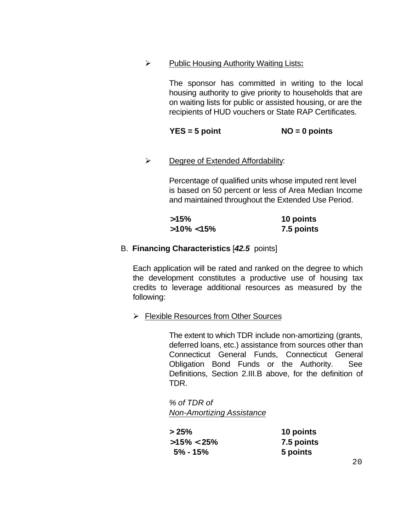ÿ Public Housing Authority Waiting Lists**:**

The sponsor has committed in writing to the local housing authority to give priority to households that are on waiting lists for public or assisted housing, or are the recipients of HUD vouchers or State RAP Certificates.

**YES = 5 point NO = 0 points**

 $\triangleright$  Degree of Extended Affordability:

Percentage of qualified units whose imputed rent level is based on 50 percent or less of Area Median Income and maintained throughout the Extended Use Period.

| >15%           | 10 points  |
|----------------|------------|
| $>10\% < 15\%$ | 7.5 points |

## B. **Financing Characteristics** [*42.5* points]

Each application will be rated and ranked on the degree to which the development constitutes a productive use of housing tax credits to leverage additional resources as measured by the following:

 $\triangleright$  Flexible Resources from Other Sources

The extent to which TDR include non-amortizing (grants, deferred loans, etc.) assistance from sources other than Connecticut General Funds, Connecticut General Obligation Bond Funds or the Authority. See Definitions, Section 2.III.B above, for the definition of TDR.

*% of TDR of Non-Amortizing Assistance*

| >25%           | 10 points  |
|----------------|------------|
| $>15\% < 25\%$ | 7.5 points |
| $5\%$ - 15%    | 5 points   |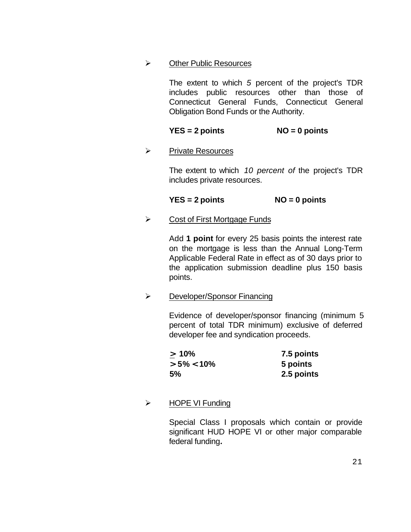### $\triangleright$  Other Public Resources

The extent to which *5* percent of the project's TDR includes public resources other than those of Connecticut General Funds, Connecticut General Obligation Bond Funds or the Authority.

## **YES = 2 points NO = 0 points**

### ÿ Private Resources

The extent to which *10 percent of* the project's TDR includes private resources.

### **YES = 2 points NO = 0 points**

 $\triangleright$  Cost of First Mortgage Funds

Add **1 point** for every 25 basis points the interest rate on the mortgage is less than the Annual Long-Term Applicable Federal Rate in effect as of 30 days prior to the application submission deadline plus 150 basis points.

 $\triangleright$  Developer/Sponsor Financing

Evidence of developer/sponsor financing (minimum 5 percent of total TDR minimum) exclusive of deferred developer fee and syndication proceeds.

| $\geq 10\%$    | 7.5 points |
|----------------|------------|
| $> 5\% < 10\%$ | 5 points   |
| 5%             | 2.5 points |

 $\triangleright$  HOPE VI Funding

Special Class I proposals which contain or provide significant HUD HOPE VI or other major comparable federal funding*.*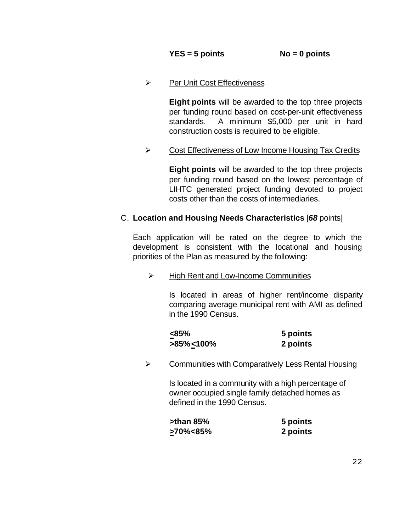$\triangleright$  Per Unit Cost Effectiveness

**Eight points** will be awarded to the top three projects per funding round based on cost-per-unit effectiveness standards. A minimum \$5,000 per unit in hard construction costs is required to be eligible.

 $\triangleright$  Cost Effectiveness of Low Income Housing Tax Credits

**Eight points** will be awarded to the top three projects per funding round based on the lowest percentage of LIHTC generated project funding devoted to project costs other than the costs of intermediaries.

## C. **Location and Housing Needs Characteristics** [*68* points]

Each application will be rated on the degree to which the development is consistent with the locational and housing priorities of the Plan as measured by the following:

 $\triangleright$  High Rent and Low-Income Communities

Is located in areas of higher rent/income disparity comparing average municipal rent with AMI as defined in the 1990 Census.

| $< 85\%$        | 5 points |
|-----------------|----------|
| $>85\% < 100\%$ | 2 points |

 $\triangleright$  Communities with Comparatively Less Rental Housing

Is located in a community with a high percentage of owner occupied single family detached homes as defined in the 1990 Census.

| $\blacktriangleright$ than 85% | 5 points |
|--------------------------------|----------|
| >70%<85%                       | 2 points |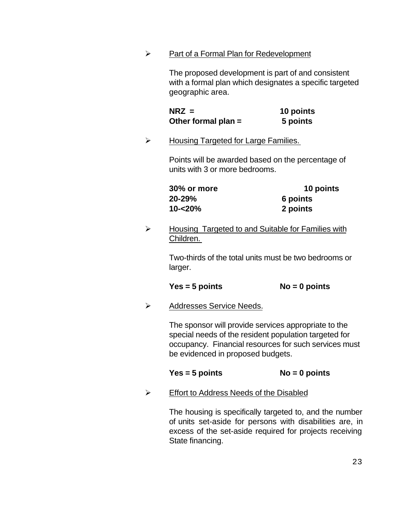$\triangleright$  Part of a Formal Plan for Redevelopment

The proposed development is part of and consistent with a formal plan which designates a specific targeted geographic area.

| $N RZ =$              | 10 points |
|-----------------------|-----------|
| Other formal plan $=$ | 5 points  |

 $\triangleright$  Housing Targeted for Large Families.

Points will be awarded based on the percentage of units with 3 or more bedrooms.

| <b>30% or more</b> | 10 points |
|--------------------|-----------|
| 20-29%             | 6 points  |
| 10-<20%            | 2 points  |

 $\triangleright$  Housing Targeted to and Suitable for Families with Children.

> Two-thirds of the total units must be two bedrooms or larger.

#### **Yes = 5 points No = 0 points**

 $\triangleright$  Addresses Service Needs.

The sponsor will provide services appropriate to the special needs of the resident population targeted for occupancy. Financial resources for such services must be evidenced in proposed budgets.

## **Yes = 5 points No = 0 points**

ÿ Effort to Address Needs of the Disabled

The housing is specifically targeted to, and the number of units set-aside for persons with disabilities are, in excess of the set-aside required for projects receiving State financing.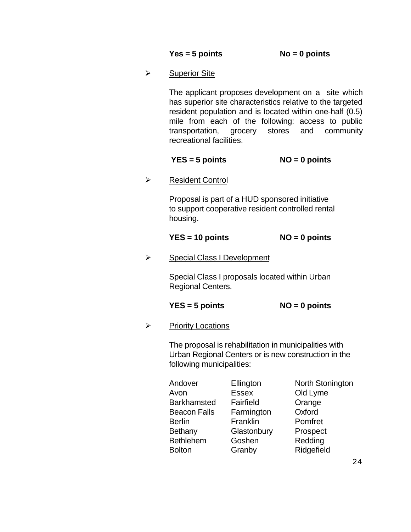| $Yes = 5 points$ | $No = 0$ points |
|------------------|-----------------|
|------------------|-----------------|

 $\triangleright$  Superior Site

The applicant proposes development on a site which has superior site characteristics relative to the targeted resident population and is located within one-half (0.5) mile from each of the following: access to public transportation, grocery stores and community recreational facilities.

## **YES = 5 points NO = 0 points**

**▶ Resident Control** 

Proposal is part of a HUD sponsored initiative to support cooperative resident controlled rental housing.

## **YES = 10 points NO = 0 points**

 $\triangleright$  Special Class I Development

Special Class I proposals located within Urban Regional Centers.

## **YES = 5 points NO = 0 points**

 $\triangleright$  Priority Locations

The proposal is rehabilitation in municipalities with Urban Regional Centers or is new construction in the following municipalities:

| Andover             | Ellington    | North Stonington |
|---------------------|--------------|------------------|
| Avon                | <b>Essex</b> | Old Lyme         |
| <b>Barkhamsted</b>  | Fairfield    | Orange           |
| <b>Beacon Falls</b> | Farmington   | Oxford           |
| <b>Berlin</b>       | Franklin     | Pomfret          |
| Bethany             | Glastonbury  | Prospect         |
| <b>Bethlehem</b>    | Goshen       | Redding          |
| <b>Bolton</b>       | Granby       | Ridgefield       |
|                     |              |                  |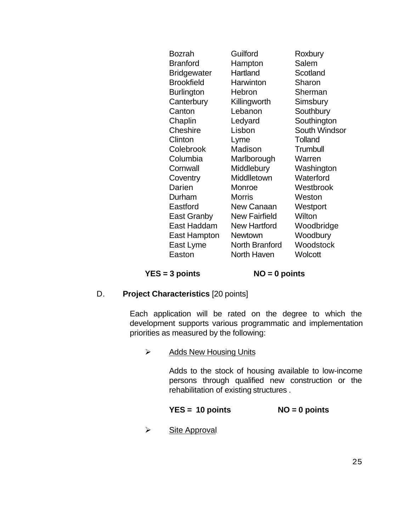| Bozrah             | Guilford             | Roxbury              |
|--------------------|----------------------|----------------------|
| <b>Branford</b>    | Hampton              | Salem                |
| <b>Bridgewater</b> | Hartland             | Scotland             |
| <b>Brookfield</b>  | Harwinton            | Sharon               |
| <b>Burlington</b>  | Hebron               | Sherman              |
| Canterbury         | Killingworth         | Simsbury             |
| Canton             | Lebanon              | Southbury            |
| Chaplin            | Ledyard              | Southington          |
| Cheshire           | Lisbon               | <b>South Windsor</b> |
| Clinton            | Lyme                 | <b>Tolland</b>       |
| Colebrook          | Madison              | Trumbull             |
| Columbia           | Marlborough          | Warren               |
| Cornwall           | Middlebury           | Washington           |
| Coventry           | Middlletown          | Waterford            |
| Darien             | Monroe               | Westbrook            |
| Durham             | <b>Morris</b>        | Weston               |
| Eastford           | New Canaan           | Westport             |
| East Granby        | <b>New Fairfield</b> | Wilton               |
| East Haddam        | <b>New Hartford</b>  | Woodbridge           |
| East Hampton       | Newtown              | Woodbury             |
| East Lyme          | North Branford       | Woodstock            |
| Easton             | North Haven          | Wolcott              |
|                    |                      |                      |

**YES = 3 points NO = 0 points**

#### D. **Project Characteristics** [20 points]

Each application will be rated on the degree to which the development supports various programmatic and implementation priorities as measured by the following:

 $\triangleright$  Adds New Housing Units

Adds to the stock of housing available to low-income persons through qualified new construction or the rehabilitation of existing structures .

#### **YES = 10 points NO = 0 points**

 $\triangleright$  Site Approval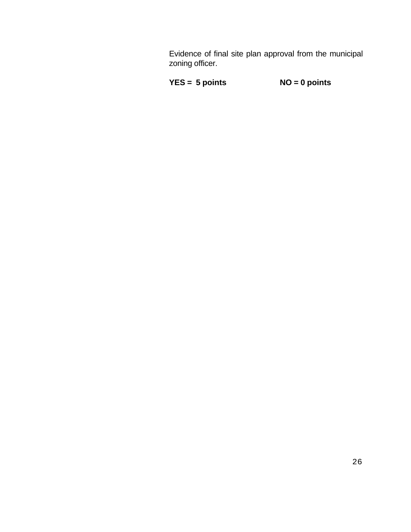Evidence of final site plan approval from the municipal zoning officer.

```
YES = 5 points NO = 0 points
```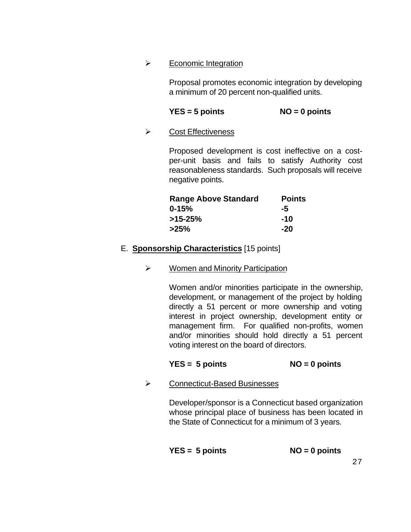#### $\triangleright$  Economic Integration

Proposal promotes economic integration by developing a minimum of 20 percent non-qualified units.

## **YES = 5 points NO = 0 points**

## $\triangleright$  Cost Effectiveness

Proposed development is cost ineffective on a costper-unit basis and fails to satisfy Authority cost reasonableness standards. Such proposals will receive negative points.

| <b>Range Above Standard</b> | <b>Points</b> |
|-----------------------------|---------------|
| $0 - 15%$                   | -5            |
| $>15-25%$                   | $-10$         |
| $>25\%$                     | $-20$         |

## E. **Sponsorship Characteristics** [15 points]

## $\triangleright$  Women and Minority Participation

Women and/or minorities participate in the ownership, development, or management of the project by holding directly a 51 percent or more ownership and voting interest in project ownership, development entity or management firm. For qualified non-profits, women and/or minorities should hold directly a 51 percent voting interest on the board of directors.

## **YES = 5 points NO = 0 points**

 $\triangleright$  Connecticut-Based Businesses

Developer/sponsor is a Connecticut based organization whose principal place of business has been located in the State of Connecticut for a minimum of 3 years.

$$
YES = 5 points
$$
  $NO = 0 points$ 

27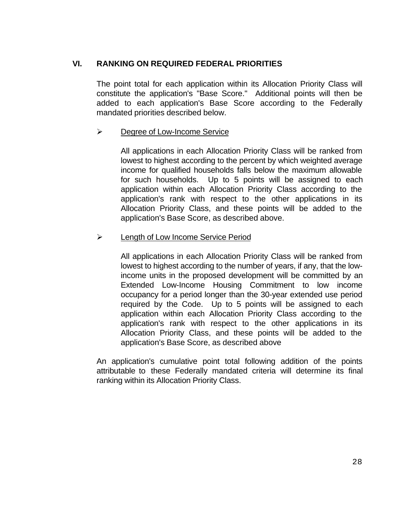## **VI. RANKING ON REQUIRED FEDERAL PRIORITIES**

The point total for each application within its Allocation Priority Class will constitute the application's "Base Score." Additional points will then be added to each application's Base Score according to the Federally mandated priorities described below.

### $\triangleright$  Degree of Low-Income Service

All applications in each Allocation Priority Class will be ranked from lowest to highest according to the percent by which weighted average income for qualified households falls below the maximum allowable for such households. Up to 5 points will be assigned to each application within each Allocation Priority Class according to the application's rank with respect to the other applications in its Allocation Priority Class, and these points will be added to the application's Base Score, as described above.

### $\triangleright$  Length of Low Income Service Period

All applications in each Allocation Priority Class will be ranked from lowest to highest according to the number of years, if any, that the lowincome units in the proposed development will be committed by an Extended Low-Income Housing Commitment to low income occupancy for a period longer than the 30-year extended use period required by the Code. Up to 5 points will be assigned to each application within each Allocation Priority Class according to the application's rank with respect to the other applications in its Allocation Priority Class, and these points will be added to the application's Base Score, as described above

An application's cumulative point total following addition of the points attributable to these Federally mandated criteria will determine its final ranking within its Allocation Priority Class.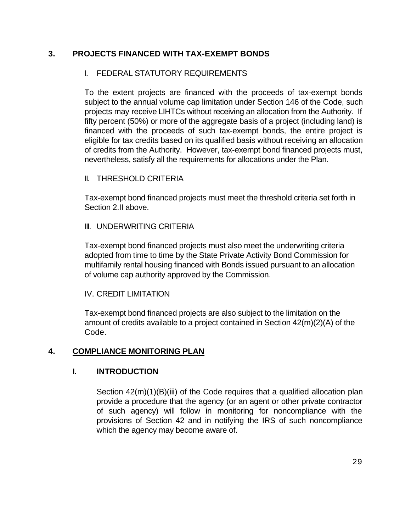## **3. PROJECTS FINANCED WITH TAX-EXEMPT BONDS**

## I. FEDERAL STATUTORY REQUIREMENTS

To the extent projects are financed with the proceeds of tax-exempt bonds subject to the annual volume cap limitation under Section 146 of the Code, such projects may receive LIHTCs without receiving an allocation from the Authority. If fifty percent (50%) or more of the aggregate basis of a project (including land) is financed with the proceeds of such tax-exempt bonds, the entire project is eligible for tax credits based on its qualified basis without receiving an allocation of credits from the Authority. However, tax-exempt bond financed projects must, nevertheless, satisfy all the requirements for allocations under the Plan.

### II. THRESHOLD CRITERIA

Tax-exempt bond financed projects must meet the threshold criteria set forth in Section 2.II above.

### III. UNDERWRITING CRITERIA

Tax-exempt bond financed projects must also meet the underwriting criteria adopted from time to time by the State Private Activity Bond Commission for multifamily rental housing financed with Bonds issued pursuant to an allocation of volume cap authority approved by the Commission*.*

#### IV. CREDIT LIMITATION

Tax-exempt bond financed projects are also subject to the limitation on the amount of credits available to a project contained in Section 42(m)(2)(A) of the Code.

## **4. COMPLIANCE MONITORING PLAN**

## **I. INTRODUCTION**

Section 42(m)(1)(B)(iii) of the Code requires that a qualified allocation plan provide a procedure that the agency (or an agent or other private contractor of such agency) will follow in monitoring for noncompliance with the provisions of Section 42 and in notifying the IRS of such noncompliance which the agency may become aware of.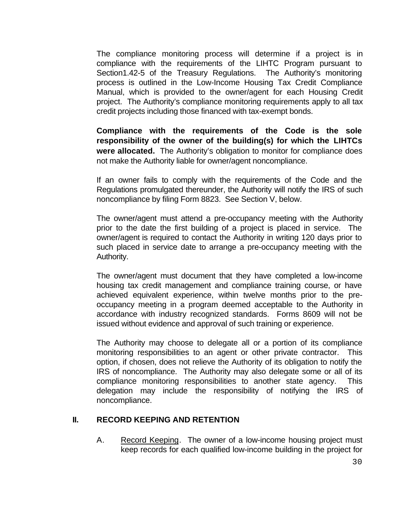The compliance monitoring process will determine if a project is in compliance with the requirements of the LIHTC Program pursuant to Section1.42-5 of the Treasury Regulations. The Authority's monitoring process is outlined in the Low-Income Housing Tax Credit Compliance Manual, which is provided to the owner/agent for each Housing Credit project. The Authority's compliance monitoring requirements apply to all tax credit projects including those financed with tax-exempt bonds.

**Compliance with the requirements of the Code is the sole responsibility of the owner of the building(s) for which the LIHTCs were allocated.** The Authority's obligation to monitor for compliance does not make the Authority liable for owner/agent noncompliance.

If an owner fails to comply with the requirements of the Code and the Regulations promulgated thereunder, the Authority will notify the IRS of such noncompliance by filing Form 8823. See Section V, below.

The owner/agent must attend a pre-occupancy meeting with the Authority prior to the date the first building of a project is placed in service. The owner/agent is required to contact the Authority in writing 120 days prior to such placed in service date to arrange a pre-occupancy meeting with the Authority.

The owner/agent must document that they have completed a low-income housing tax credit management and compliance training course, or have achieved equivalent experience, within twelve months prior to the preoccupancy meeting in a program deemed acceptable to the Authority in accordance with industry recognized standards. Forms 8609 will not be issued without evidence and approval of such training or experience.

The Authority may choose to delegate all or a portion of its compliance monitoring responsibilities to an agent or other private contractor. This option, if chosen, does not relieve the Authority of its obligation to notify the IRS of noncompliance. The Authority may also delegate some or all of its compliance monitoring responsibilities to another state agency. This delegation may include the responsibility of notifying the IRS of noncompliance.

#### **II. RECORD KEEPING AND RETENTION**

A. Record Keeping. The owner of a low-income housing project must keep records for each qualified low-income building in the project for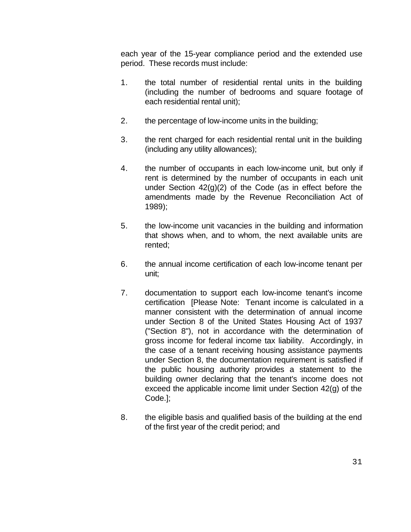each year of the 15-year compliance period and the extended use period. These records must include:

- 1. the total number of residential rental units in the building (including the number of bedrooms and square footage of each residential rental unit);
- 2. the percentage of low-income units in the building;
- 3. the rent charged for each residential rental unit in the building (including any utility allowances);
- 4. the number of occupants in each low-income unit, but only if rent is determined by the number of occupants in each unit under Section 42(g)(2) of the Code (as in effect before the amendments made by the Revenue Reconciliation Act of 1989);
- 5. the low-income unit vacancies in the building and information that shows when, and to whom, the next available units are rented;
- 6. the annual income certification of each low-income tenant per unit;
- 7. documentation to support each low-income tenant's income certification [Please Note: Tenant income is calculated in a manner consistent with the determination of annual income under Section 8 of the United States Housing Act of 1937 ("Section 8"), not in accordance with the determination of gross income for federal income tax liability. Accordingly, in the case of a tenant receiving housing assistance payments under Section 8, the documentation requirement is satisfied if the public housing authority provides a statement to the building owner declaring that the tenant's income does not exceed the applicable income limit under Section 42(g) of the Code.];
- 8. the eligible basis and qualified basis of the building at the end of the first year of the credit period; and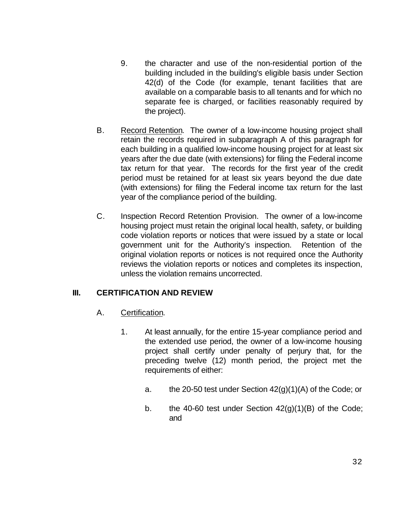- 9. the character and use of the non-residential portion of the building included in the building's eligible basis under Section 42(d) of the Code (for example, tenant facilities that are available on a comparable basis to all tenants and for which no separate fee is charged, or facilities reasonably required by the project).
- B. Record Retention. The owner of a low-income housing project shall retain the records required in subparagraph A of this paragraph for each building in a qualified low-income housing project for at least six years after the due date (with extensions) for filing the Federal income tax return for that year. The records for the first year of the credit period must be retained for at least six years beyond the due date (with extensions) for filing the Federal income tax return for the last year of the compliance period of the building.
- C. Inspection Record Retention Provision. The owner of a low-income housing project must retain the original local health, safety, or building code violation reports or notices that were issued by a state or local government unit for the Authority's inspection. Retention of the original violation reports or notices is not required once the Authority reviews the violation reports or notices and completes its inspection, unless the violation remains uncorrected.

## **III. CERTIFICATION AND REVIEW**

- A. Certification.
	- 1. At least annually, for the entire 15-year compliance period and the extended use period, the owner of a low-income housing project shall certify under penalty of perjury that, for the preceding twelve (12) month period, the project met the requirements of either:
		- a. the 20-50 test under Section  $42(g)(1)(A)$  of the Code; or
		- b. the 40-60 test under Section  $42(g)(1)(B)$  of the Code; and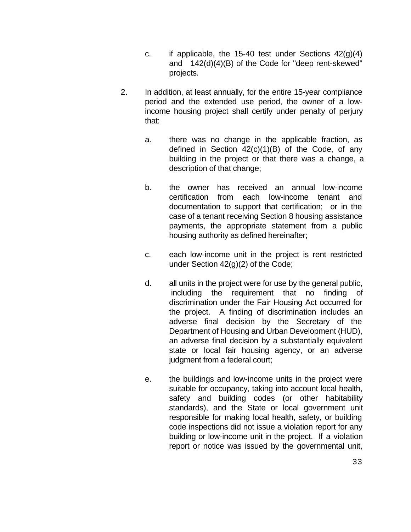- c. if applicable, the 15-40 test under Sections  $42(q)(4)$ and 142(d)(4)(B) of the Code for "deep rent-skewed" projects.
- 2. In addition, at least annually, for the entire 15-year compliance period and the extended use period, the owner of a lowincome housing project shall certify under penalty of perjury that:
	- a. there was no change in the applicable fraction, as defined in Section  $42(c)(1)(B)$  of the Code, of any building in the project or that there was a change, a description of that change;
	- b. the owner has received an annual low-income certification from each low-income tenant and documentation to support that certification; or in the case of a tenant receiving Section 8 housing assistance payments, the appropriate statement from a public housing authority as defined hereinafter;
	- c. each low-income unit in the project is rent restricted under Section 42(g)(2) of the Code;
	- d. all units in the project were for use by the general public, including the requirement that no finding of discrimination under the Fair Housing Act occurred for the project. A finding of discrimination includes an adverse final decision by the Secretary of the Department of Housing and Urban Development (HUD), an adverse final decision by a substantially equivalent state or local fair housing agency, or an adverse judgment from a federal court;
	- e. the buildings and low-income units in the project were suitable for occupancy, taking into account local health, safety and building codes (or other habitability standards), and the State or local government unit responsible for making local health, safety, or building code inspections did not issue a violation report for any building or low-income unit in the project. If a violation report or notice was issued by the governmental unit,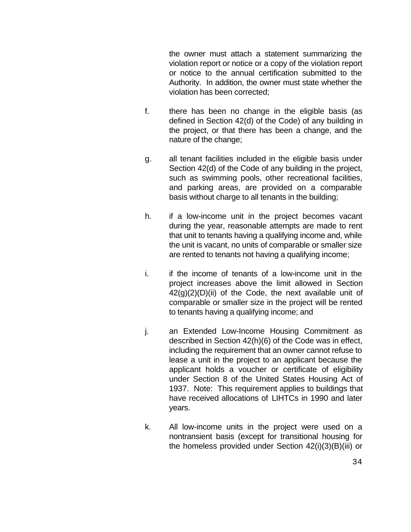the owner must attach a statement summarizing the violation report or notice or a copy of the violation report or notice to the annual certification submitted to the Authority. In addition, the owner must state whether the violation has been corrected;

- f. there has been no change in the eligible basis (as defined in Section 42(d) of the Code) of any building in the project, or that there has been a change, and the nature of the change;
- g. all tenant facilities included in the eligible basis under Section 42(d) of the Code of any building in the project, such as swimming pools, other recreational facilities, and parking areas, are provided on a comparable basis without charge to all tenants in the building;
- h. if a low-income unit in the project becomes vacant during the year, reasonable attempts are made to rent that unit to tenants having a qualifying income and, while the unit is vacant, no units of comparable or smaller size are rented to tenants not having a qualifying income;
- i. if the income of tenants of a low-income unit in the project increases above the limit allowed in Section  $42(q)(2)(D)(ii)$  of the Code, the next available unit of comparable or smaller size in the project will be rented to tenants having a qualifying income; and
- j. an Extended Low-Income Housing Commitment as described in Section 42(h)(6) of the Code was in effect, including the requirement that an owner cannot refuse to lease a unit in the project to an applicant because the applicant holds a voucher or certificate of eligibility under Section 8 of the United States Housing Act of 1937. Note: This requirement applies to buildings that have received allocations of LIHTCs in 1990 and later years.
- k. All low-income units in the project were used on a nontransient basis (except for transitional housing for the homeless provided under Section 42(i)(3)(B)(iii) or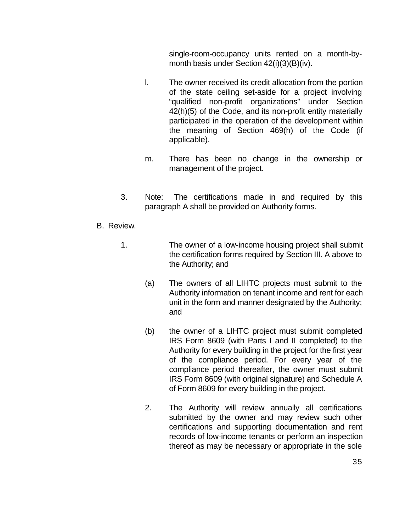single-room-occupancy units rented on a month-bymonth basis under Section 42(i)(3)(B)(iv).

- l. The owner received its credit allocation from the portion of the state ceiling set-aside for a project involving "qualified non-profit organizations" under Section 42(h)(5) of the Code, and its non-profit entity materially participated in the operation of the development within the meaning of Section 469(h) of the Code (if applicable).
- m. There has been no change in the ownership or management of the project.
- 3. Note: The certifications made in and required by this paragraph A shall be provided on Authority forms.
- B. Review.
	- 1. The owner of a low-income housing project shall submit the certification forms required by Section III. A above to the Authority; and
		- (a) The owners of all LIHTC projects must submit to the Authority information on tenant income and rent for each unit in the form and manner designated by the Authority; and
		- (b) the owner of a LIHTC project must submit completed IRS Form 8609 (with Parts I and II completed) to the Authority for every building in the project for the first year of the compliance period. For every year of the compliance period thereafter, the owner must submit IRS Form 8609 (with original signature) and Schedule A of Form 8609 for every building in the project.
		- 2. The Authority will review annually all certifications submitted by the owner and may review such other certifications and supporting documentation and rent records of low-income tenants or perform an inspection thereof as may be necessary or appropriate in the sole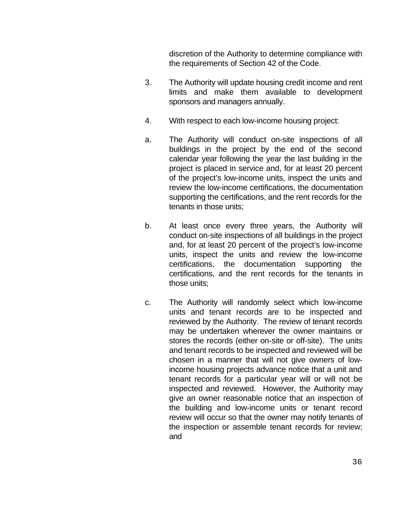discretion of the Authority to determine compliance with the requirements of Section 42 of the Code.

- 3. The Authority will update housing credit income and rent limits and make them available to development sponsors and managers annually.
- 4. With respect to each low-income housing project:
- a. The Authority will conduct on-site inspections of all buildings in the project by the end of the second calendar year following the year the last building in the project is placed in service and, for at least 20 percent of the project's low-income units, inspect the units and review the low-income certifications, the documentation supporting the certifications, and the rent records for the tenants in those units;
- b. At least once every three years, the Authority will conduct on-site inspections of all buildings in the project and, for at least 20 percent of the project's low-income units, inspect the units and review the low-income certifications, the documentation supporting certifications, and the rent records for the tenants in those units;
- c. The Authority will randomly select which low-income units and tenant records are to be inspected and reviewed by the Authority. The review of tenant records may be undertaken wherever the owner maintains or stores the records (either on-site or off-site). The units and tenant records to be inspected and reviewed will be chosen in a manner that will not give owners of lowincome housing projects advance notice that a unit and tenant records for a particular year will or will not be inspected and reviewed. However, the Authority may give an owner reasonable notice that an inspection of the building and low-income units or tenant record review will occur so that the owner may notify tenants of the inspection or assemble tenant records for review; and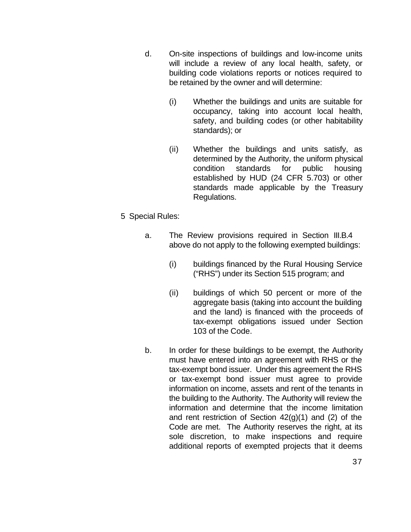- d. On-site inspections of buildings and low-income units will include a review of any local health, safety, or building code violations reports or notices required to be retained by the owner and will determine:
	- (i) Whether the buildings and units are suitable for occupancy, taking into account local health, safety, and building codes (or other habitability standards); or
	- (ii) Whether the buildings and units satisfy, as determined by the Authority, the uniform physical condition standards for public housing established by HUD (24 CFR 5.703) or other standards made applicable by the Treasury Regulations.
- 5 Special Rules:
	- a. The Review provisions required in Section III.B.4 above do not apply to the following exempted buildings:
		- (i) buildings financed by the Rural Housing Service ("RHS") under its Section 515 program; and
		- (ii) buildings of which 50 percent or more of the aggregate basis (taking into account the building and the land) is financed with the proceeds of tax-exempt obligations issued under Section 103 of the Code.
	- b. In order for these buildings to be exempt, the Authority must have entered into an agreement with RHS or the tax-exempt bond issuer. Under this agreement the RHS or tax-exempt bond issuer must agree to provide information on income, assets and rent of the tenants in the building to the Authority. The Authority will review the information and determine that the income limitation and rent restriction of Section 42(g)(1) and (2) of the Code are met. The Authority reserves the right, at its sole discretion, to make inspections and require additional reports of exempted projects that it deems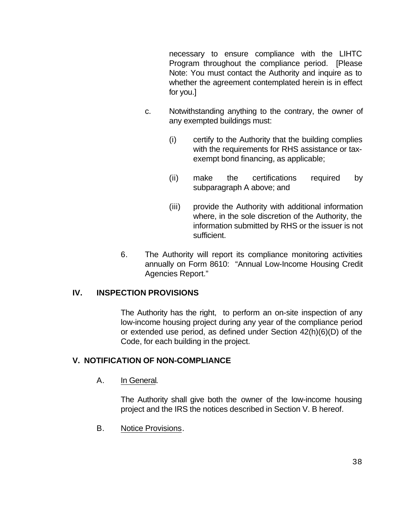necessary to ensure compliance with the LIHTC Program throughout the compliance period. [Please Note: You must contact the Authority and inquire as to whether the agreement contemplated herein is in effect for you.]

- c. Notwithstanding anything to the contrary, the owner of any exempted buildings must:
	- (i) certify to the Authority that the building complies with the requirements for RHS assistance or taxexempt bond financing, as applicable;
	- (ii) make the certifications required by subparagraph A above; and
	- (iii) provide the Authority with additional information where, in the sole discretion of the Authority, the information submitted by RHS or the issuer is not sufficient.
- 6. The Authority will report its compliance monitoring activities annually on Form 8610: "Annual Low-Income Housing Credit Agencies Report."

## **IV. INSPECTION PROVISIONS**

The Authority has the right, to perform an on-site inspection of any low-income housing project during any year of the compliance period or extended use period, as defined under Section 42(h)(6)(D) of the Code, for each building in the project.

## **V. NOTIFICATION OF NON-COMPLIANCE**

A. In General.

The Authority shall give both the owner of the low-income housing project and the IRS the notices described in Section V. B hereof.

B. Notice Provisions.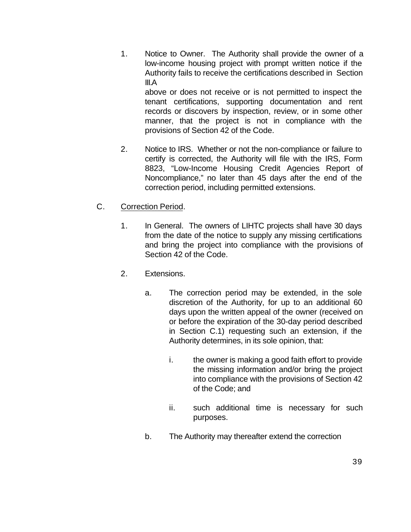- 1. Notice to Owner. The Authority shall provide the owner of a low-income housing project with prompt written notice if the Authority fails to receive the certifications described in Section III.A above or does not receive or is not permitted to inspect the tenant certifications, supporting documentation and rent records or discovers by inspection, review, or in some other manner, that the project is not in compliance with the
- 2. Notice to IRS. Whether or not the non-compliance or failure to certify is corrected, the Authority will file with the IRS, Form 8823, "Low-Income Housing Credit Agencies Report of Noncompliance," no later than 45 days after the end of the correction period, including permitted extensions.

provisions of Section 42 of the Code.

- C. Correction Period.
	- 1. In General. The owners of LIHTC projects shall have 30 days from the date of the notice to supply any missing certifications and bring the project into compliance with the provisions of Section 42 of the Code.
	- 2. Extensions.
		- a. The correction period may be extended, in the sole discretion of the Authority, for up to an additional 60 days upon the written appeal of the owner (received on or before the expiration of the 30-day period described in Section C.1) requesting such an extension, if the Authority determines, in its sole opinion, that:
			- i. the owner is making a good faith effort to provide the missing information and/or bring the project into compliance with the provisions of Section 42 of the Code; and
			- ii. such additional time is necessary for such purposes.
		- b. The Authority may thereafter extend the correction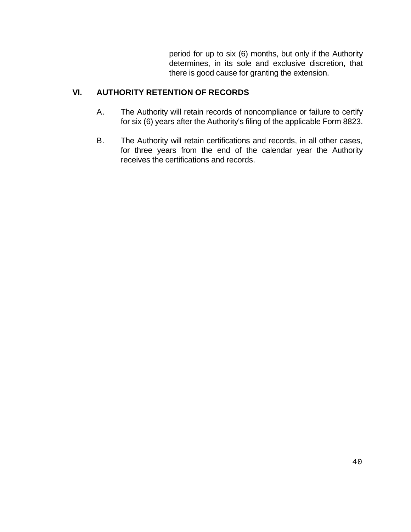period for up to six (6) months, but only if the Authority determines, in its sole and exclusive discretion, that there is good cause for granting the extension.

## **VI. AUTHORITY RETENTION OF RECORDS**

- A. The Authority will retain records of noncompliance or failure to certify for six (6) years after the Authority's filing of the applicable Form 8823.
- B. The Authority will retain certifications and records, in all other cases, for three years from the end of the calendar year the Authority receives the certifications and records.